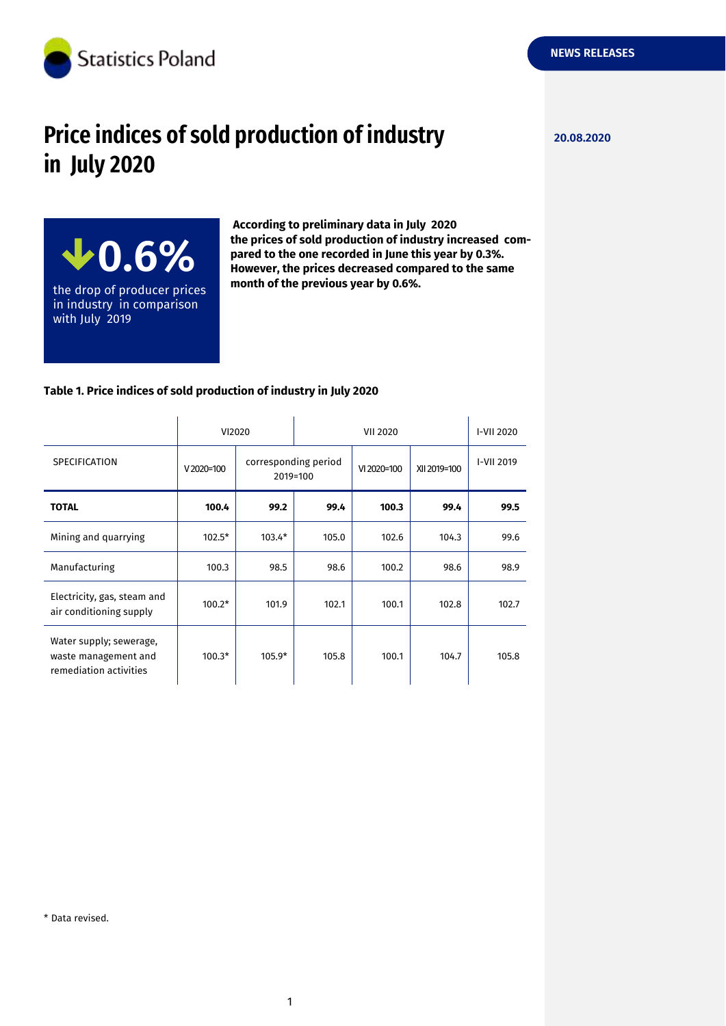

# **Price indices of sold production of industry 20.08.2020 in July 2020**

**NEWS RELEASES**



**According to preliminary data in July 2020 the prices of sold production of industry increased compared to the one recorded in June this year by 0.3%. However, the prices decreased compared to the same month of the previous year by 0.6%.**

## **Table 1. Price indices of sold production of industry in July 2020**

|                                                                           | VI2020      |                                  | <b>VII 2020</b> |             |              | I-VII 2020 |
|---------------------------------------------------------------------------|-------------|----------------------------------|-----------------|-------------|--------------|------------|
| <b>SPECIFICATION</b>                                                      | $V2020=100$ | corresponding period<br>2019=100 |                 | VI 2020=100 | XII 2019=100 | I-VII 2019 |
| <b>TOTAL</b>                                                              | 100.4       | 99.2                             | 99.4            | 100.3       | 99.4         | 99.5       |
| Mining and quarrying                                                      | $102.5*$    | $103.4*$                         | 105.0           | 102.6       | 104.3        | 99.6       |
| Manufacturing                                                             | 100.3       | 98.5                             | 98.6            | 100.2       | 98.6         | 98.9       |
| Electricity, gas, steam and<br>air conditioning supply                    | $100.2*$    | 101.9                            | 102.1           | 100.1       | 102.8        | 102.7      |
| Water supply; sewerage,<br>waste management and<br>remediation activities | $100.3*$    | $105.9*$                         | 105.8           | 100.1       | 104.7        | 105.8      |

\* Data revised.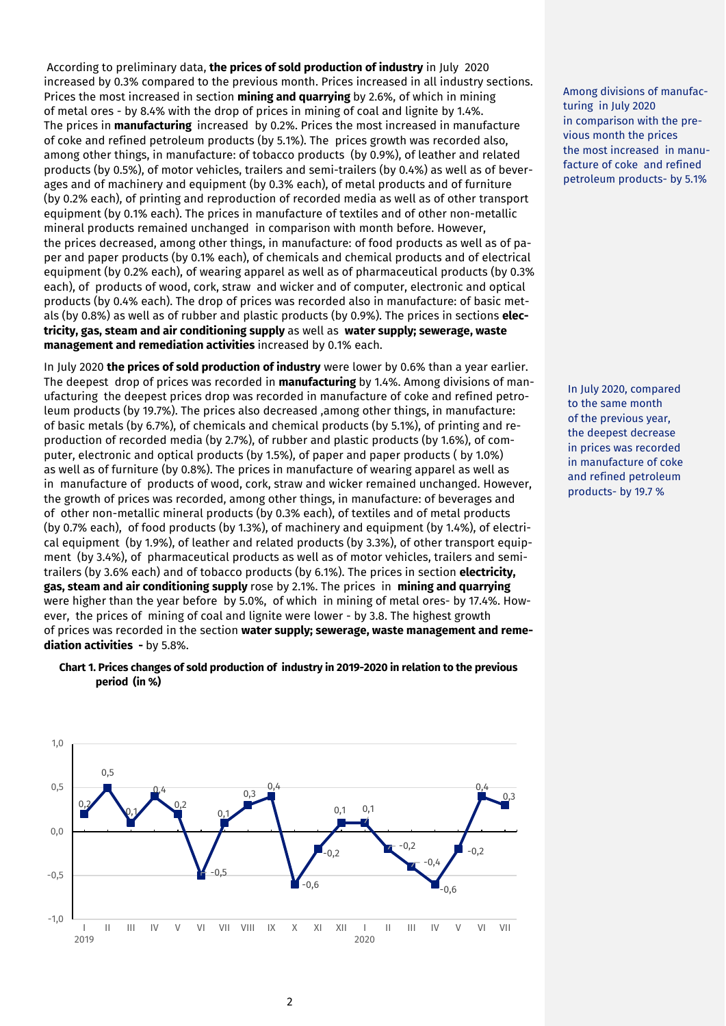According to preliminary data, **the prices of sold production of industry** in July 2020 increased by 0.3% compared to the previous month. Prices increased in all industry sections. Prices the most increased in section **mining and quarrying** by 2.6%, of which in mining of metal ores - by 8.4% with the drop of prices in mining of coal and lignite by 1.4%. The prices in **manufacturing** increased by 0.2%. Prices the most increased in manufacture of coke and refined petroleum products (by 5.1%). The prices growth was recorded also, among other things, in manufacture: of tobacco products (by 0.9%), of leather and related products (by 0.5%), of motor vehicles, trailers and semi-trailers (by 0.4%) as well as of beverages and of machinery and equipment (by 0.3% each), of metal products and of furniture (by 0.2% each), of printing and reproduction of recorded media as well as of other transport equipment (by 0.1% each). The prices in manufacture of textiles and of other non-metallic mineral products remained unchanged in comparison with month before. However, the prices decreased, among other things, in manufacture: of food products as well as of paper and paper products (by 0.1% each), of chemicals and chemical products and of electrical equipment (by 0.2% each), of wearing apparel as well as of pharmaceutical products (by 0.3% each), of products of wood, cork, straw and wicker and of computer, electronic and optical products (by 0.4% each). The drop of prices was recorded also in manufacture: of basic metals (by 0.8%) as well as of rubber and plastic products (by 0.9%). The prices in sections **electricity, gas, steam and air conditioning supply** as well as **water supply; sewerage, waste management and remediation activities** increased by 0.1% each.

In July 2020 **the prices of sold production of industry** were lower by 0.6% than a year earlier. The deepest drop of prices was recorded in **manufacturing** by 1.4%. Among divisions of manufacturing the deepest prices drop was recorded in manufacture of coke and refined petroleum products (by 19.7%). The prices also decreased ,among other things, in manufacture: of basic metals (by 6.7%), of chemicals and chemical products (by 5.1%), of printing and reproduction of recorded media (by 2.7%), of rubber and plastic products (by 1.6%), of computer, electronic and optical products (by 1.5%), of paper and paper products ( by 1.0%) as well as of furniture (by 0.8%). The prices in manufacture of wearing apparel as well as in manufacture of products of wood, cork, straw and wicker remained unchanged. However, the growth of prices was recorded, among other things, in manufacture: of beverages and of other non-metallic mineral products (by 0.3% each), of textiles and of metal products (by 0.7% each), of food products (by 1.3%), of machinery and equipment (by 1.4%), of electrical equipment (by 1.9%), of leather and related products (by 3.3%), of other transport equipment (by 3.4%), of pharmaceutical products as well as of motor vehicles, trailers and semitrailers (by 3.6% each) and of tobacco products (by 6.1%). The prices in section **electricity, gas, steam and air conditioning supply** rose by 2.1%. The prices in **mining and quarrying** were higher than the year before by 5.0%, of which in mining of metal ores- by 17.4%. However, the prices of mining of coal and lignite were lower - by 3.8. The highest growth of prices was recorded in the section **water supply; sewerage, waste management and remediation activities -** by 5.8%.





Among divisions of manufacturing in July 2020 in comparison with the previous month the prices the most increased in manufacture of coke and refined petroleum products- by 5.1%

In July 2020, compared to the same month of the previous year, the deepest decrease in prices was recorded in manufacture of coke and refined petroleum products- by 19.7 %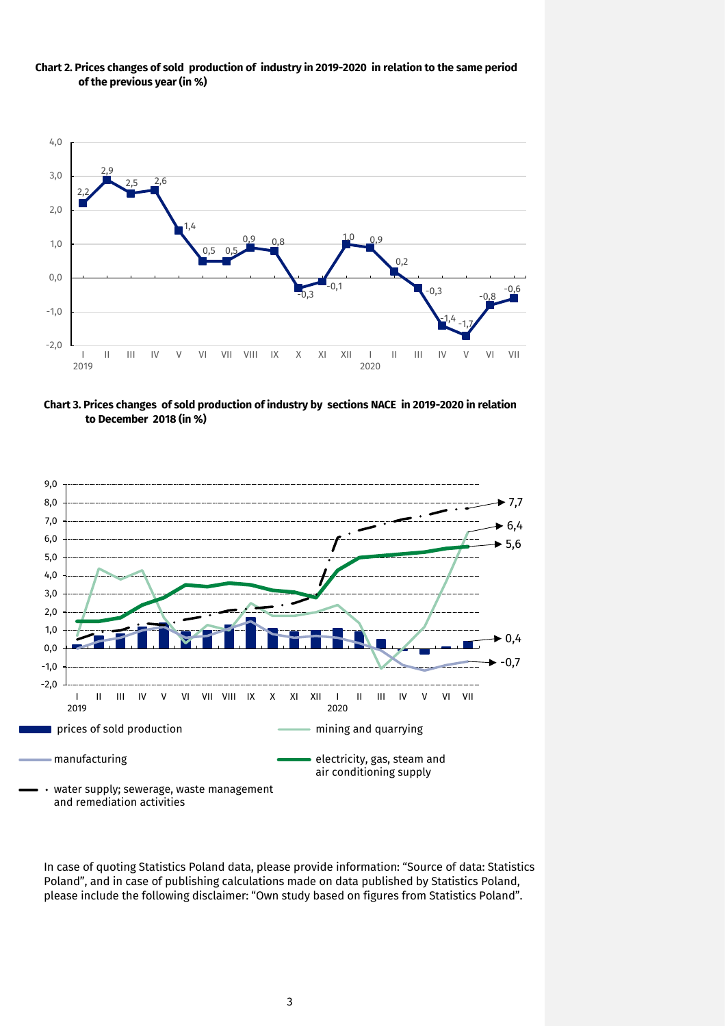#### **Chart 2. Prices changes of sold production of industry in 2019-2020 in relation to the same period of the previous year (in %)**



**Chart 3. Prices changes of sold production of industry by sections NACE in 2019-2020 in relation to December 2018 (in %)**



In case of quoting Statistics Poland data, please provide information: "Source of data: Statistics Poland", and in case of publishing calculations made on data published by Statistics Poland, please include the following disclaimer: "Own study based on figures from Statistics Poland".